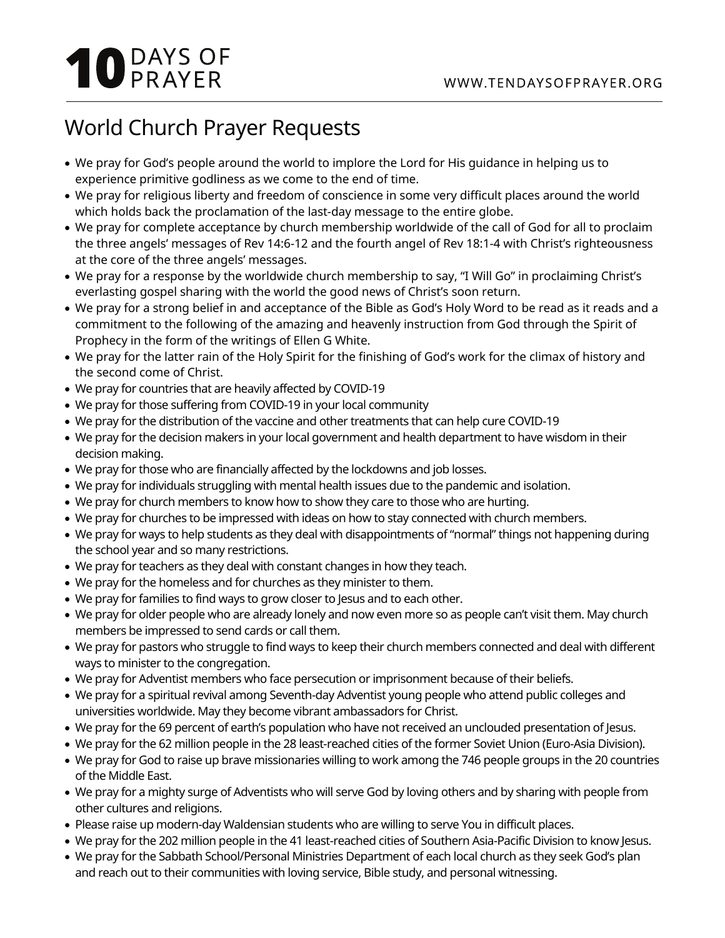## **10** DAYS OF

## World Church Prayer Requests

- We pray for God's people around the world to implore the Lord for His guidance in helping us to experience primitive godliness as we come to the end of time.
- We pray for religious liberty and freedom of conscience in some very difficult places around the world which holds back the proclamation of the last-day message to the entire globe.
- We pray for complete acceptance by church membership worldwide of the call of God for all to proclaim the three angels' messages of Rev 14:6-12 and the fourth angel of Rev 18:1-4 with Christ's righteousness at the core of the three angels' messages.
- We pray for a response by the worldwide church membership to say, "I Will Go" in proclaiming Christ's everlasting gospel sharing with the world the good news of Christ's soon return.
- We pray for a strong belief in and acceptance of the Bible as God's Holy Word to be read as it reads and a commitment to the following of the amazing and heavenly instruction from God through the Spirit of Prophecy in the form of the writings of Ellen G White.
- We pray for the latter rain of the Holy Spirit for the finishing of God's work for the climax of history and the second come of Christ.
- We pray for countries that are heavily affected by COVID-19
- We pray for those suffering from COVID-19 in your local community
- We pray for the distribution of the vaccine and other treatments that can help cure COVID-19
- We pray for the decision makers in your local government and health department to have wisdom in their decision making.
- We pray for those who are financially affected by the lockdowns and job losses.
- We pray for individuals struggling with mental health issues due to the pandemic and isolation.
- We pray for church members to know how to show they care to those who are hurting.
- We pray for churches to be impressed with ideas on how to stay connected with church members.
- We pray for ways to help students as they deal with disappointments of "normal" things not happening during the school year and so many restrictions.
- We pray for teachers as they deal with constant changes in how they teach.
- We pray for the homeless and for churches as they minister to them.
- We pray for families to find ways to grow closer to Jesus and to each other.
- We pray for older people who are already lonely and now even more so as people can't visit them. May church members be impressed to send cards or call them.
- We pray for pastors who struggle to find ways to keep their church members connected and deal with different ways to minister to the congregation.
- We pray for Adventist members who face persecution or imprisonment because of their beliefs.
- We pray for a spiritual revival among Seventh-day Adventist young people who attend public colleges and universities worldwide. May they become vibrant ambassadors for Christ.
- We pray for the 69 percent of earth's population who have not received an unclouded presentation of Jesus.
- We pray for the 62 million people in the 28 least-reached cities of the former Soviet Union (Euro-Asia Division).
- We pray for God to raise up brave missionaries willing to work among the 746 people groups in the 20 countries of the Middle East.
- We pray for a mighty surge of Adventists who will serve God by loving others and by sharing with people from other cultures and religions.
- Please raise up modern-day Waldensian students who are willing to serve You in difficult places.
- We pray for the 202 million people in the 41 least-reached cities of Southern Asia-Pacific Division to know Jesus.
- We pray for the Sabbath School/Personal Ministries Department of each local church as they seek God's plan and reach out to their communities with loving service, Bible study, and personal witnessing.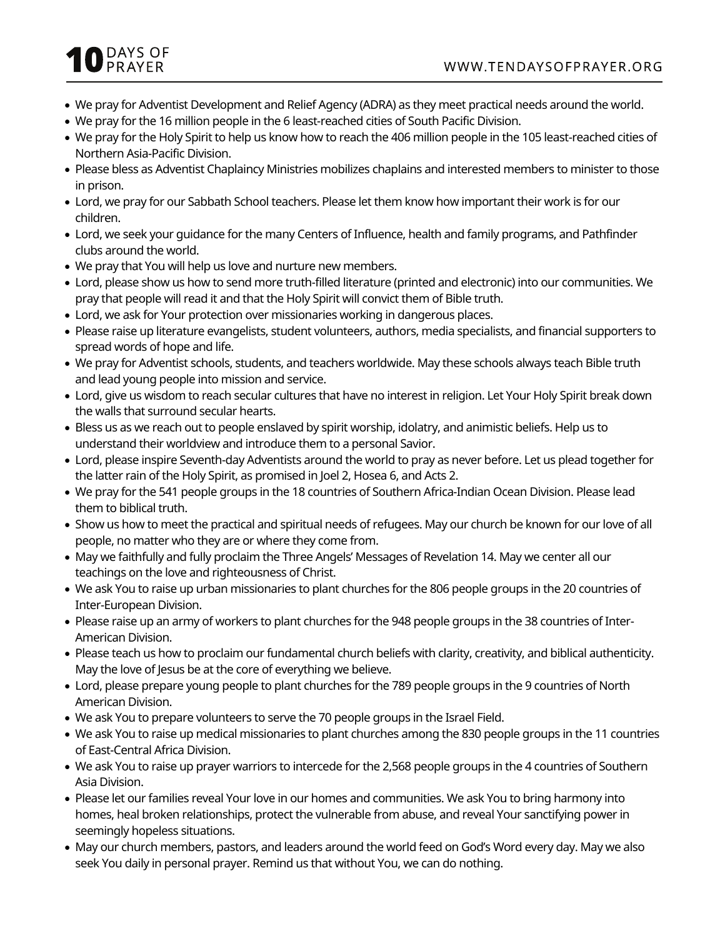## **O** DAYS OF

- We pray for Adventist Development and Relief Agency (ADRA) as they meet practical needs around the world.
- We pray for the 16 million people in the 6 least-reached cities of South Pacific Division.
- We pray for the Holy Spirit to help us know how to reach the 406 million people in the 105 least-reached cities of Northern Asia-Pacific Division.
- Please bless as Adventist Chaplaincy Ministries mobilizes chaplains and interested members to minister to those in prison.
- Lord, we pray for our Sabbath School teachers. Please let them know how important their work is for our children.
- Lord, we seek your guidance for the many Centers of Influence, health and family programs, and Pathfinder clubs around the world.
- We pray that You will help us love and nurture new members.
- Lord, please show us how to send more truth-filled literature (printed and electronic) into our communities. We pray that people will read it and that the Holy Spirit will convict them of Bible truth.
- Lord, we ask for Your protection over missionaries working in dangerous places.
- Please raise up literature evangelists, student volunteers, authors, media specialists, and financial supporters to spread words of hope and life.
- We pray for Adventist schools, students, and teachers worldwide. May these schools always teach Bible truth and lead young people into mission and service.
- Lord, give us wisdom to reach secular cultures that have no interest in religion. Let Your Holy Spirit break down the walls that surround secular hearts.
- Bless us as we reach out to people enslaved by spirit worship, idolatry, and animistic beliefs. Help us to understand their worldview and introduce them to a personal Savior.
- Lord, please inspire Seventh-day Adventists around the world to pray as never before. Let us plead together for the latter rain of the Holy Spirit, as promised in Joel 2, Hosea 6, and Acts 2.
- We pray for the 541 people groups in the 18 countries of Southern Africa-Indian Ocean Division. Please lead them to biblical truth.
- Show us how to meet the practical and spiritual needs of refugees. May our church be known for our love of all people, no matter who they are or where they come from.
- May we faithfully and fully proclaim the Three Angels' Messages of Revelation 14. May we center all our teachings on the love and righteousness of Christ.
- We ask You to raise up urban missionaries to plant churches for the 806 people groups in the 20 countries of Inter-European Division.
- Please raise up an army of workers to plant churches for the 948 people groups in the 38 countries of Inter-American Division.
- Please teach us how to proclaim our fundamental church beliefs with clarity, creativity, and biblical authenticity. May the love of Jesus be at the core of everything we believe.
- Lord, please prepare young people to plant churches for the 789 people groups in the 9 countries of North American Division.
- We ask You to prepare volunteers to serve the 70 people groups in the Israel Field.
- We ask You to raise up medical missionaries to plant churches among the 830 people groups in the 11 countries of East-Central Africa Division.
- We ask You to raise up prayer warriors to intercede for the 2,568 people groups in the 4 countries of Southern Asia Division.
- Please let our families reveal Your love in our homes and communities. We ask You to bring harmony into homes, heal broken relationships, protect the vulnerable from abuse, and reveal Your sanctifying power in seemingly hopeless situations.
- May our church members, pastors, and leaders around the world feed on God's Word every day. May we also seek You daily in personal prayer. Remind us that without You, we can do nothing.